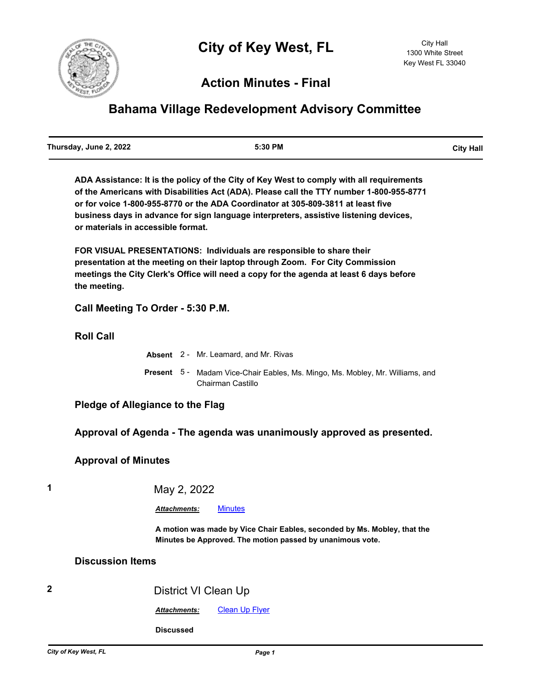

# **Action Minutes - Final**

# **Bahama Village Redevelopment Advisory Committee**

| Thursday, June 2, 2022 | 5:30 PM | <b>City Hall</b> |
|------------------------|---------|------------------|
|                        |         |                  |

**ADA Assistance: It is the policy of the City of Key West to comply with all requirements of the Americans with Disabilities Act (ADA). Please call the TTY number 1-800-955-8771 or for voice 1-800-955-8770 or the ADA Coordinator at 305-809-3811 at least five business days in advance for sign language interpreters, assistive listening devices, or materials in accessible format.**

**FOR VISUAL PRESENTATIONS: Individuals are responsible to share their presentation at the meeting on their laptop through Zoom. For City Commission meetings the City Clerk's Office will need a copy for the agenda at least 6 days before the meeting.**

**Call Meeting To Order - 5:30 P.M.**

**Roll Call**

|  | <b>Absent</b> 2 - Mr. Leamard. and Mr. Rivas                                                              |
|--|-----------------------------------------------------------------------------------------------------------|
|  | <b>Present</b> 5 - Madam Vice-Chair Eables, Ms. Mingo, Ms. Mobley, Mr. Williams, and<br>Chairman Castillo |

### **Pledge of Allegiance to the Flag**

#### **Approval of Agenda - The agenda was unanimously approved as presented.**

#### **Approval of Minutes**

## **1** May 2, 2022

#### *Attachments:* [Minutes](http://KeyWest.legistar.com/gateway.aspx?M=F&ID=115bdacf-3f8d-4b88-936c-d558e98eeffb.pdf)

**A motion was made by Vice Chair Eables, seconded by Ms. Mobley, that the Minutes be Approved. The motion passed by unanimous vote.**

#### **Discussion Items**

## **2** District VI Clean Up

*Attachments:* [Clean Up Flyer](http://KeyWest.legistar.com/gateway.aspx?M=F&ID=db46b4b5-201e-40d9-b58d-ca37cec950a8.docx)

**Discussed**